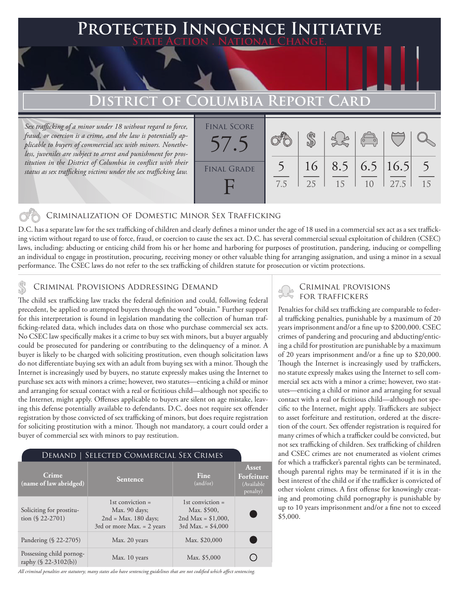## **PTED INNOCENCE INITIATIVE State Action . National Change.**

# **District of Columbia Report Card**

*Sex trafficking of a minor under 18 without regard to force, fraud, or coercion is a crime, and the law is potentially applicable to buyers of commercial sex with minors. Nonetheless, juveniles are subject to arrest and punishment for prostitution in the District of Columbia in conflict with their status as sex trafficking victims under the sex trafficking law.*



### Criminalization of Domestic Minor Sex Trafficking

D.C. has a separate law for the sex trafficking of children and clearly defines a minor under the age of 18 used in a commercial sex act as a sex trafficking victim without regard to use of force, fraud, or coercion to cause the sex act. D.C. has several commercial sexual exploitation of children (CSEC) laws, including: abducting or enticing child from his or her home and harboring for purposes of prostitution, pandering, inducing or compelling an individual to engage in prostitution, procuring, receiving money or other valuable thing for arranging assignation, and using a minor in a sexual performance. The CSEC laws do not refer to the sex trafficking of children statute for prosecution or victim protections.

# CRIMINAL PROVISIONS ADDRESSING DEMAND<br>The child can trafficking law tracks the foderal definition and could following foderal SCRI TRAFFICKERS

The child sex trafficking law tracks the federal definition and could, following federal precedent, be applied to attempted buyers through the word "obtain." Further support for this interpretation is found in legislation mandating the collection of human trafficking-related data, which includes data on those who purchase commercial sex acts. No CSEC law specifically makes it a crime to buy sex with minors, but a buyer arguably could be prosecuted for pandering or contributing to the delinquency of a minor. A buyer is likely to be charged with soliciting prostitution, even though solicitation laws do not differentiate buying sex with an adult from buying sex with a minor. Though the Internet is increasingly used by buyers, no statute expressly makes using the Internet to purchase sex acts with minors a crime; however, two statutes—enticing a child or minor and arranging for sexual contact with a real or fictitious child—although not specific to the Internet, might apply. Offenses applicable to buyers are silent on age mistake, leaving this defense potentially available to defendants. D.C. does not require sex offender registration by those convicted of sex trafficking of minors, but does require registration for soliciting prostitution with a minor. Though not mandatory, a court could order a buyer of commercial sex with minors to pay restitution.

#### Demand | Selected Commercial Sex Crimes

| Crime<br>(name of law abridged)                  | <b>Sentence</b>                                                                               | Fine<br>(and/or)                                                                 | Asset<br>Forfeiture<br>(Available)<br>penalty) |
|--------------------------------------------------|-----------------------------------------------------------------------------------------------|----------------------------------------------------------------------------------|------------------------------------------------|
| Soliciting for prostitu-<br>tion $(\$ 22-2701)$  | 1st conviction $=$<br>Max. 90 days;<br>$2nd = Max. 180 days;$<br>3rd or more Max. $= 2$ years | 1st conviction $=$<br>Max. \$500,<br>2nd Max = $$1,000$ ,<br>3rd Max. = $$4,000$ |                                                |
| Pandering (§ 22-2705)                            | Max. 20 years                                                                                 | Max. \$20,000                                                                    |                                                |
| Possessing child pornog-<br>raphy (§ 22-3102(b)) | Max. 10 years                                                                                 | Max. \$5,000                                                                     |                                                |

*All criminal penalties are statutory; many states also have sentencing guidelines that are not codified which affect sentencing.* 

Penalties for child sex trafficking are comparable to federal trafficking penalties, punishable by a maximum of 20 years imprisonment and/or a fine up to \$200,000. CSEC crimes of pandering and procuring and abducting/enticing a child for prostitution are punishable by a maximum of 20 years imprisonment and/or a fine up to \$20,000. Though the Internet is increasingly used by traffickers, no statute expressly makes using the Internet to sell commercial sex acts with a minor a crime; however, two statutes—enticing a child or minor and arranging for sexual contact with a real or fictitious child—although not specific to the Internet, might apply. Traffickers are subject to asset forfeiture and restitution, ordered at the discretion of the court. Sex offender registration is required for many crimes of which a trafficker could be convicted, but not sex trafficking of children. Sex trafficking of children and CSEC crimes are not enumerated as violent crimes for which a trafficker's parental rights can be terminated, though parental rights may be terminated if it is in the best interest of the child or if the trafficker is convicted of other violent crimes. A first offense for knowingly creating and promoting child pornography is punishable by up to 10 years imprisonment and/or a fine not to exceed \$5,000.